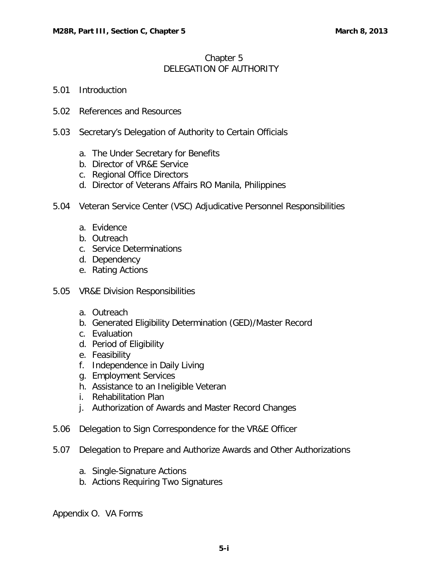## Chapter 5 DELEGATION OF AUTHORITY

- 5.01 [Introduction](#page-1-0)
- 5.02 [References and Resources](#page-1-0)
- 5.03 [Secretary's Delegation of Authority to Certain Officials](#page-1-0)
	- a. [The Under Secretary for Benefits](#page-1-0)
	- b. Director of VR&E Service
	- c. Regional Office Directors
	- d. [Director of Veterans Affairs RO Manila, Philippines](#page-2-0)
- 5.04 [Veteran Service Center \(VSC\) Adjudicative Personnel Responsibilities](#page-2-0)
	- a. Evidence
	- b. Outreach
	- c. Service Determinations
	- d. Dependency
	- e. [Rating Actions](#page-3-0)
- 5.05 VR&E Division Responsibilities
	- a. Outreach
	- b. [Generated Eligibility Determination \(GED\)/Master Record](#page-3-0)
	- c. Evaluation
	- d. Period of Eligibility
	- e. Feasibility
	- f. Independence in Daily Living
	- g. Employment Services
	- h. [Assistance to an Ineligible Veteran](#page-4-0)
	- i. Rehabilitation Plan
	- j. [Authorization of Awards and Master Record Changes](#page-4-0)
- 5.06 [Delegation to Sign Correspondence for the VR&E Officer](#page-5-0)
- 5.07 [Delegation to Prepare and Authorize Awards and Other Authorizations](#page-5-0)
	- a. Single-Signature Actions
	- b. Actions Requiring Two Signatures

Appendix O. VA Forms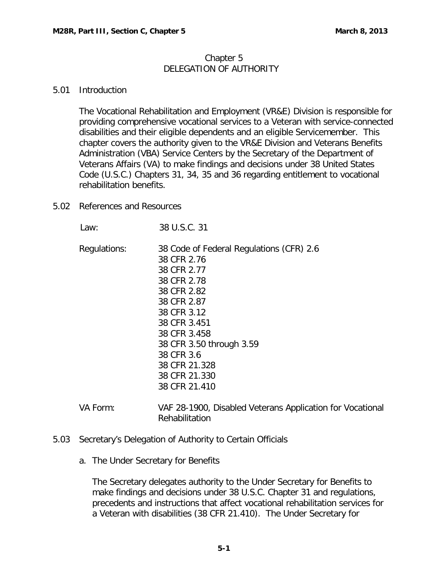## Chapter 5 DELEGATION OF AUTHORITY

## <span id="page-1-0"></span>5.01 Introduction

The Vocational Rehabilitation and Employment (VR&E) Division is responsible for providing comprehensive vocational services to a Veteran with service-connected disabilities and their eligible dependents and an eligible Servicemember. This chapter covers the authority given to the VR&E Division and Veterans Benefits Administration (VBA) Service Centers by the Secretary of the Department of Veterans Affairs (VA) to make findings and decisions under 38 United States Code (U.S.C.) Chapters 31, 34, 35 and 36 regarding entitlement to vocational rehabilitation benefits.

5.02 References and Resources

 Law: 38 U.S.C. 31 Regulations: 38 Code of Federal Regulations (CFR) 2.6 38 CFR 2.76 38 CFR 2.77 38 CFR 2.78 38 CFR 2.82 38 CFR 2.87 38 CFR 3.12 38 CFR 3.451 38 CFR 3.458 38 CFR 3.50 through 3.59 38 CFR 3.6 38 CFR 21.328 38 CFR 21.330 38 CFR 21.410

- VA Form: VAF 28-1900, Disabled Veterans Application for Vocational Rehabilitation
- 5.03 Secretary's Delegation of Authority to Certain Officials
	- a. The Under Secretary for Benefits

The Secretary delegates authority to the Under Secretary for Benefits to make findings and decisions under 38 U.S.C. Chapter 31 and regulations, precedents and instructions that affect vocational rehabilitation services for a Veteran with disabilities (38 CFR 21.410). The Under Secretary for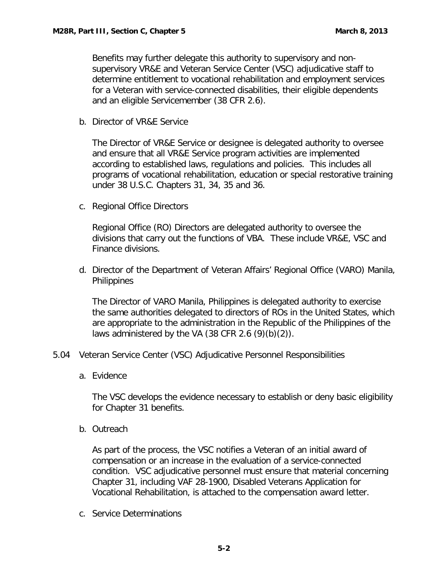<span id="page-2-0"></span>Benefits may further delegate this authority to supervisory and nonsupervisory VR&E and Veteran Service Center (VSC) adjudicative staff to determine entitlement to vocational rehabilitation and employment services for a Veteran with service-connected disabilities, their eligible dependents and an eligible Servicemember (38 CFR 2.6).

b. Director of VR&E Service

The Director of VR&E Service or designee is delegated authority to oversee and ensure that all VR&E Service program activities are implemented according to established laws, regulations and policies. This includes all programs of vocational rehabilitation, education or special restorative training under 38 U.S.C. Chapters 31, 34, 35 and 36.

c. Regional Office Directors

Regional Office (RO) Directors are delegated authority to oversee the divisions that carry out the functions of VBA. These include VR&E, VSC and Finance divisions.

d. Director of the Department of Veteran Affairs' Regional Office (VARO) Manila, **Philippines** 

The Director of VARO Manila, Philippines is delegated authority to exercise the same authorities delegated to directors of ROs in the United States, which are appropriate to the administration in the Republic of the Philippines of the laws administered by the VA (38 CFR 2.6  $(9)(b)(2)$ ).

- 5.04 Veteran Service Center (VSC) Adjudicative Personnel Responsibilities
	- a. Evidence

The VSC develops the evidence necessary to establish or deny basic eligibility for Chapter 31 benefits.

b. Outreach

As part of the process, the VSC notifies a Veteran of an initial award of compensation or an increase in the evaluation of a service-connected condition. VSC adjudicative personnel must ensure that material concerning Chapter 31, including VAF 28-1900, Disabled Veterans Application for Vocational Rehabilitation, is attached to the compensation award letter.

c. Service Determinations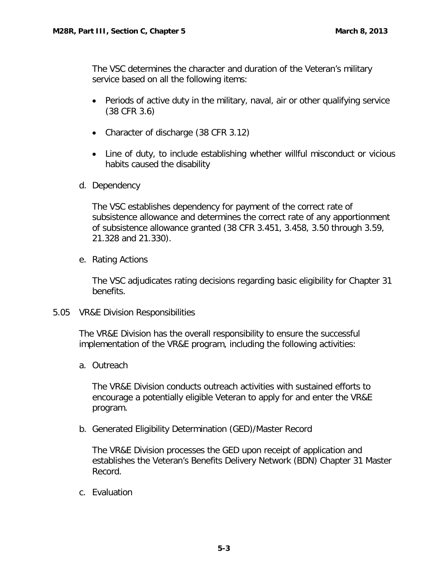<span id="page-3-0"></span>The VSC determines the character and duration of the Veteran's military service based on all the following items:

- Periods of active duty in the military, naval, air or other qualifying service (38 CFR 3.6)
- Character of discharge (38 CFR 3.12)
- Line of duty, to include establishing whether willful misconduct or vicious habits caused the disability
- d. Dependency

The VSC establishes dependency for payment of the correct rate of subsistence allowance and determines the correct rate of any apportionment of subsistence allowance granted (38 CFR 3.451, 3.458, 3.50 through 3.59, 21.328 and 21.330).

e. Rating Actions

The VSC adjudicates rating decisions regarding basic eligibility for Chapter 31 benefits.

5.05 VR&E Division Responsibilities

The VR&E Division has the overall responsibility to ensure the successful implementation of the VR&E program, including the following activities:

a. Outreach

The VR&E Division conducts outreach activities with sustained efforts to encourage a potentially eligible Veteran to apply for and enter the VR&E program.

b. Generated Eligibility Determination (GED)/Master Record

The VR&E Division processes the GED upon receipt of application and establishes the Veteran's Benefits Delivery Network (BDN) Chapter 31 Master Record.

c. Evaluation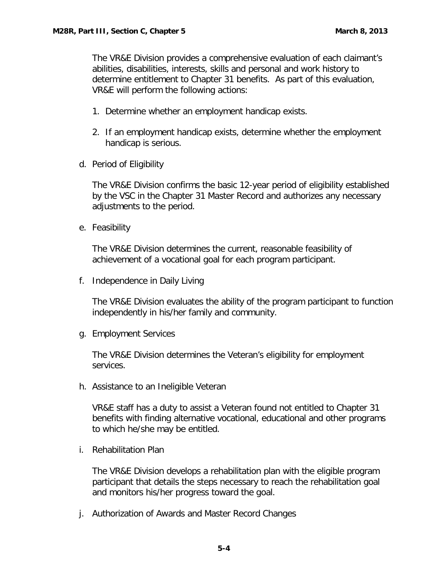<span id="page-4-0"></span>The VR&E Division provides a comprehensive evaluation of each claimant's abilities, disabilities, interests, skills and personal and work history to determine entitlement to Chapter 31 benefits. As part of this evaluation, VR&E will perform the following actions:

- 1. Determine whether an employment handicap exists.
- 2. If an employment handicap exists, determine whether the employment handicap is serious.
- d. Period of Eligibility

The VR&E Division confirms the basic 12-year period of eligibility established by the VSC in the Chapter 31 Master Record and authorizes any necessary adjustments to the period.

e. Feasibility

The VR&E Division determines the current, reasonable feasibility of achievement of a vocational goal for each program participant.

f. Independence in Daily Living

The VR&E Division evaluates the ability of the program participant to function independently in his/her family and community.

g. Employment Services

The VR&E Division determines the Veteran's eligibility for employment services.

h. Assistance to an Ineligible Veteran

VR&E staff has a duty to assist a Veteran found not entitled to Chapter 31 benefits with finding alternative vocational, educational and other programs to which he/she may be entitled.

i. Rehabilitation Plan

The VR&E Division develops a rehabilitation plan with the eligible program participant that details the steps necessary to reach the rehabilitation goal and monitors his/her progress toward the goal.

j. Authorization of Awards and Master Record Changes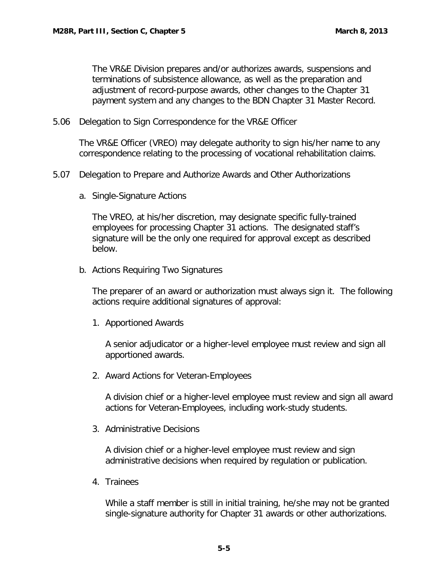<span id="page-5-0"></span>The VR&E Division prepares and/or authorizes awards, suspensions and terminations of subsistence allowance, as well as the preparation and adjustment of record-purpose awards, other changes to the Chapter 31 payment system and any changes to the BDN Chapter 31 Master Record.

5.06 Delegation to Sign Correspondence for the VR&E Officer

The VR&E Officer (VREO) may delegate authority to sign his/her name to any correspondence relating to the processing of vocational rehabilitation claims.

- 5.07 Delegation to Prepare and Authorize Awards and Other Authorizations
	- a. Single-Signature Actions

The VREO, at his/her discretion, may designate specific fully-trained employees for processing Chapter 31 actions. The designated staff's signature will be the only one required for approval except as described below.

b. Actions Requiring Two Signatures

The preparer of an award or authorization must always sign it. The following actions require additional signatures of approval:

1. Apportioned Awards

A senior adjudicator or a higher-level employee must review and sign all apportioned awards.

2. Award Actions for Veteran-Employees

A division chief or a higher-level employee must review and sign all award actions for Veteran-Employees, including work-study students.

3. Administrative Decisions

A division chief or a higher-level employee must review and sign administrative decisions when required by regulation or publication.

4. Trainees

While a staff member is still in initial training, he/she may not be granted single-signature authority for Chapter 31 awards or other authorizations.